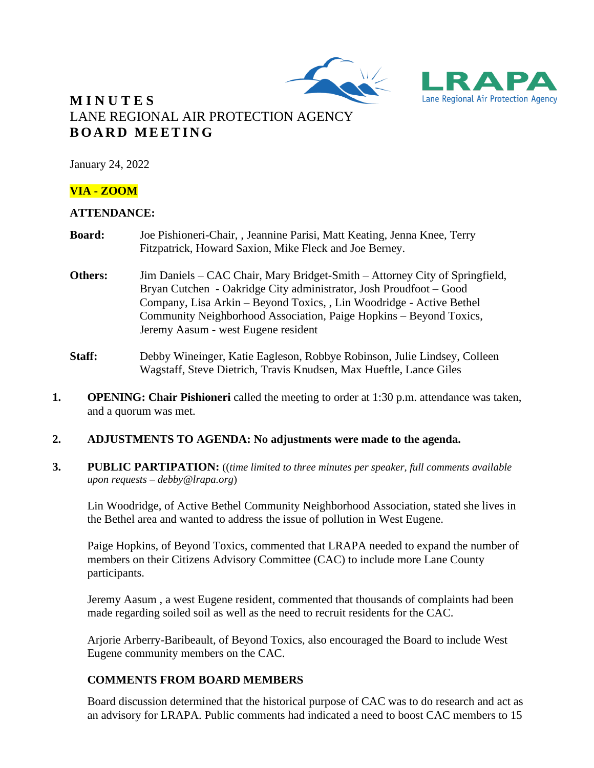



# **M I N U T E S** LANE REGIONAL AIR PROTECTION AGENCY **B O A R D M E E T I N G**

January 24, 2022

### **VIA - ZOOM**

### **ATTENDANCE:**

- **Board:** Joe Pishioneri-Chair, , Jeannine Parisi, Matt Keating, Jenna Knee, Terry Fitzpatrick, Howard Saxion, Mike Fleck and Joe Berney.
- **Others:** Jim Daniels CAC Chair, Mary Bridget-Smith Attorney City of Springfield, Bryan Cutchen - Oakridge City administrator, Josh Proudfoot – Good Company, Lisa Arkin – Beyond Toxics, , Lin Woodridge - Active Bethel Community Neighborhood Association, Paige Hopkins – Beyond Toxics, Jeremy Aasum - west Eugene resident
- **Staff:** Debby Wineinger, Katie Eagleson, Robbye Robinson, Julie Lindsey, Colleen Wagstaff, Steve Dietrich, Travis Knudsen, Max Hueftle, Lance Giles
- **1. OPENING: Chair Pishioneri** called the meeting to order at 1:30 p.m. attendance was taken, and a quorum was met.

### **2. ADJUSTMENTS TO AGENDA: No adjustments were made to the agenda.**

**3. PUBLIC PARTIPATION:** ((*time limited to three minutes per speaker, full comments available upon requests – debby@lrapa.org*)

Lin Woodridge, of Active Bethel Community Neighborhood Association, stated she lives in the Bethel area and wanted to address the issue of pollution in West Eugene.

Paige Hopkins, of Beyond Toxics, commented that LRAPA needed to expand the number of members on their Citizens Advisory Committee (CAC) to include more Lane County participants.

Jeremy Aasum , a west Eugene resident, commented that thousands of complaints had been made regarding soiled soil as well as the need to recruit residents for the CAC.

Arjorie Arberry-Baribeault, of Beyond Toxics, also encouraged the Board to include West Eugene community members on the CAC.

### **COMMENTS FROM BOARD MEMBERS**

Board discussion determined that the historical purpose of CAC was to do research and act as an advisory for LRAPA. Public comments had indicated a need to boost CAC members to 15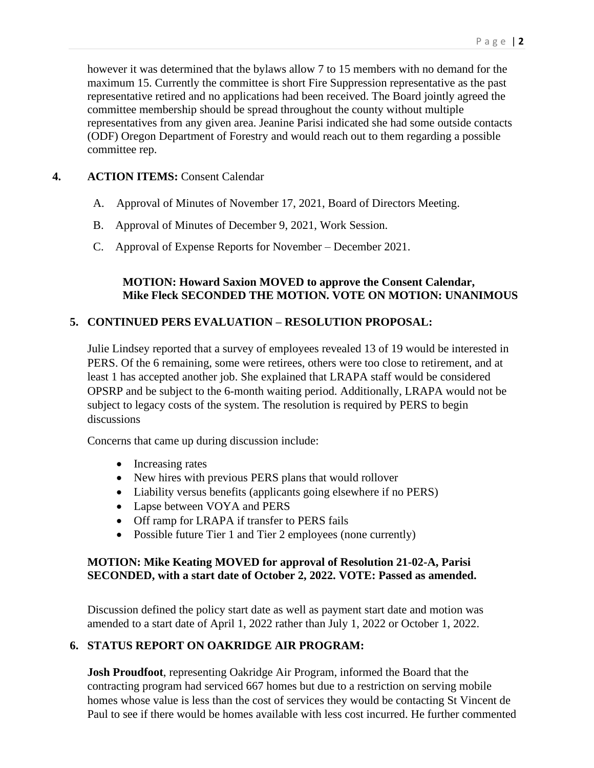however it was determined that the bylaws allow 7 to 15 members with no demand for the maximum 15. Currently the committee is short Fire Suppression representative as the past representative retired and no applications had been received. The Board jointly agreed the committee membership should be spread throughout the county without multiple representatives from any given area. Jeanine Parisi indicated she had some outside contacts (ODF) Oregon Department of Forestry and would reach out to them regarding a possible committee rep.

### **4. ACTION ITEMS:** Consent Calendar

- A. Approval of Minutes of November 17, 2021, Board of Directors Meeting.
- B. Approval of Minutes of December 9, 2021, Work Session.
- C. Approval of Expense Reports for November December 2021.

### **MOTION: Howard Saxion MOVED to approve the Consent Calendar, Mike Fleck SECONDED THE MOTION. VOTE ON MOTION: UNANIMOUS**

### **5. CONTINUED PERS EVALUATION – RESOLUTION PROPOSAL:**

Julie Lindsey reported that a survey of employees revealed 13 of 19 would be interested in PERS. Of the 6 remaining, some were retirees, others were too close to retirement, and at least 1 has accepted another job. She explained that LRAPA staff would be considered OPSRP and be subject to the 6-month waiting period. Additionally, LRAPA would not be subject to legacy costs of the system. The resolution is required by PERS to begin discussions

Concerns that came up during discussion include:

- Increasing rates
- New hires with previous PERS plans that would rollover
- Liability versus benefits (applicants going elsewhere if no PERS)
- Lapse between VOYA and PERS
- Off ramp for LRAPA if transfer to PERS fails
- Possible future Tier 1 and Tier 2 employees (none currently)

### **MOTION: Mike Keating MOVED for approval of Resolution 21-02-A, Parisi SECONDED, with a start date of October 2, 2022. VOTE: Passed as amended.**

Discussion defined the policy start date as well as payment start date and motion was amended to a start date of April 1, 2022 rather than July 1, 2022 or October 1, 2022.

## **6. STATUS REPORT ON OAKRIDGE AIR PROGRAM:**

**Josh Proudfoot**, representing Oakridge Air Program, informed the Board that the contracting program had serviced 667 homes but due to a restriction on serving mobile homes whose value is less than the cost of services they would be contacting St Vincent de Paul to see if there would be homes available with less cost incurred. He further commented